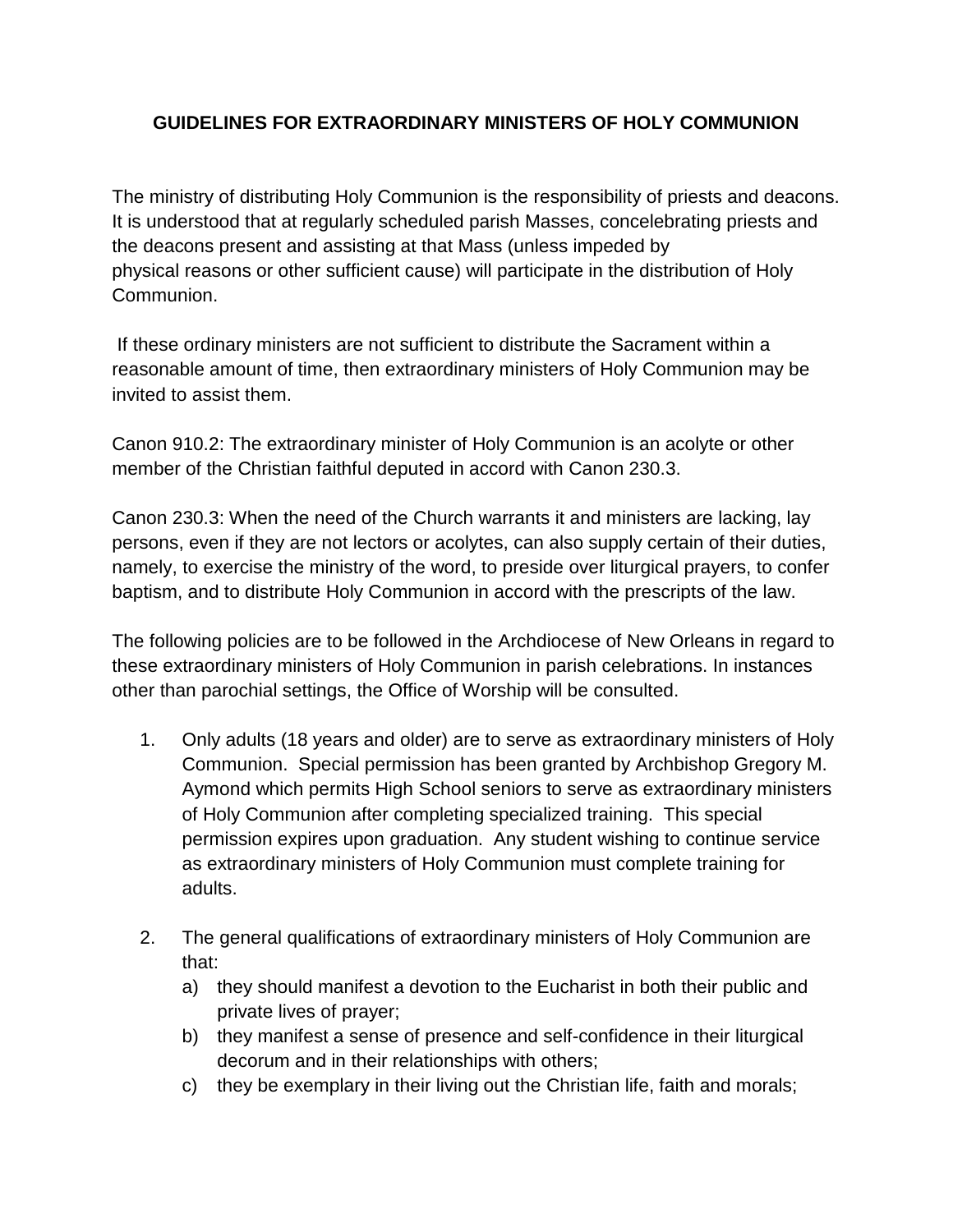## **GUIDELINES FOR EXTRAORDINARY MINISTERS OF HOLY COMMUNION**

The ministry of distributing Holy Communion is the responsibility of priests and deacons. It is understood that at regularly scheduled parish Masses, concelebrating priests and the deacons present and assisting at that Mass (unless impeded by physical reasons or other sufficient cause) will participate in the distribution of Holy Communion.

If these ordinary ministers are not sufficient to distribute the Sacrament within a reasonable amount of time, then extraordinary ministers of Holy Communion may be invited to assist them.

Canon 910.2: The extraordinary minister of Holy Communion is an acolyte or other member of the Christian faithful deputed in accord with Canon 230.3.

Canon 230.3: When the need of the Church warrants it and ministers are lacking, lay persons, even if they are not lectors or acolytes, can also supply certain of their duties, namely, to exercise the ministry of the word, to preside over liturgical prayers, to confer baptism, and to distribute Holy Communion in accord with the prescripts of the law.

The following policies are to be followed in the Archdiocese of New Orleans in regard to these extraordinary ministers of Holy Communion in parish celebrations. In instances other than parochial settings, the Office of Worship will be consulted.

- 1. Only adults (18 years and older) are to serve as extraordinary ministers of Holy Communion. Special permission has been granted by Archbishop Gregory M. Aymond which permits High School seniors to serve as extraordinary ministers of Holy Communion after completing specialized training. This special permission expires upon graduation. Any student wishing to continue service as extraordinary ministers of Holy Communion must complete training for adults.
- 2. The general qualifications of extraordinary ministers of Holy Communion are that:
	- a) they should manifest a devotion to the Eucharist in both their public and private lives of prayer;
	- b) they manifest a sense of presence and self-confidence in their liturgical decorum and in their relationships with others;
	- c) they be exemplary in their living out the Christian life, faith and morals;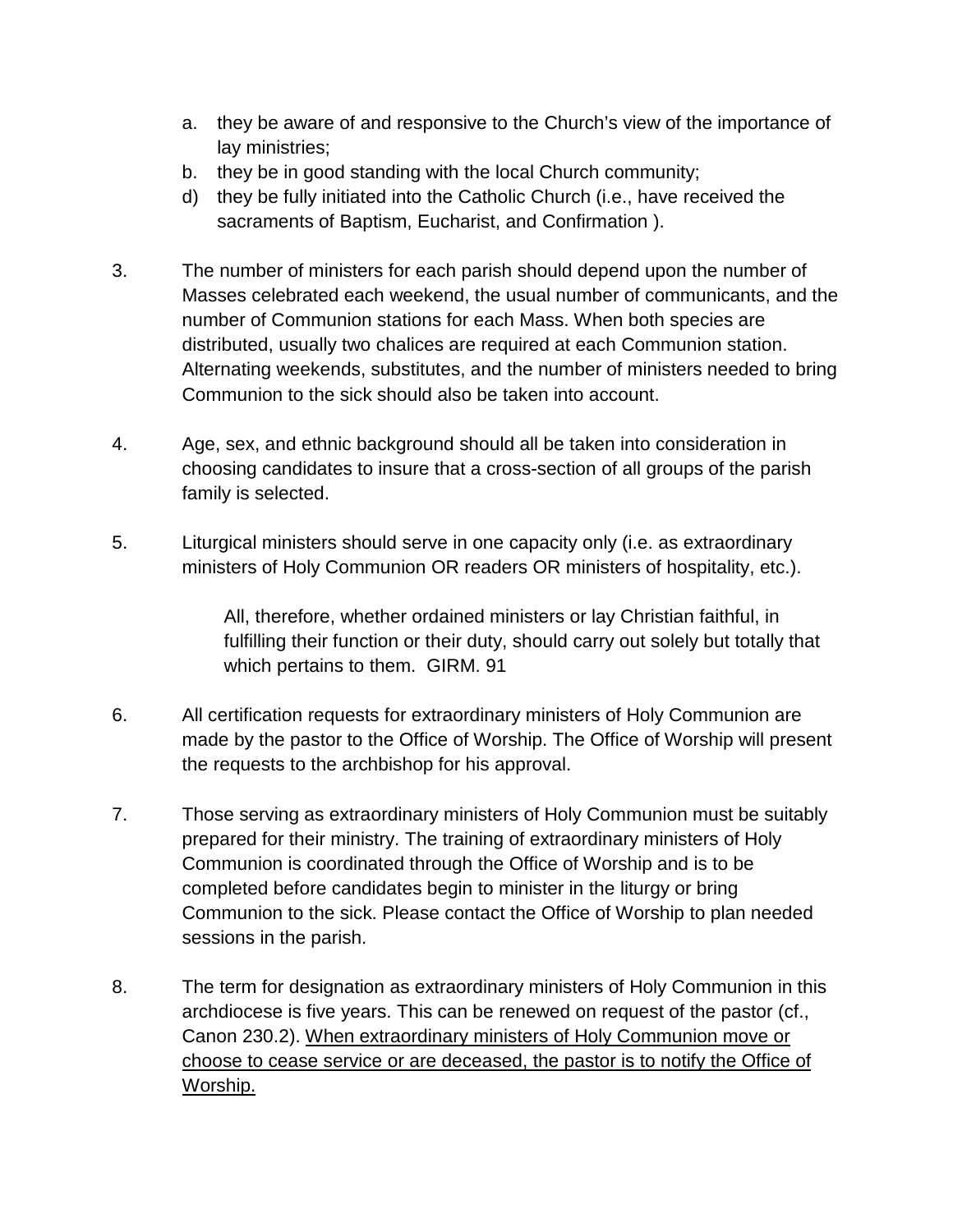- a. they be aware of and responsive to the Church's view of the importance of lay ministries;
- b. they be in good standing with the local Church community;
- d) they be fully initiated into the Catholic Church (i.e., have received the sacraments of Baptism, Eucharist, and Confirmation ).
- 3. The number of ministers for each parish should depend upon the number of Masses celebrated each weekend, the usual number of communicants, and the number of Communion stations for each Mass. When both species are distributed, usually two chalices are required at each Communion station. Alternating weekends, substitutes, and the number of ministers needed to bring Communion to the sick should also be taken into account.
- 4. Age, sex, and ethnic background should all be taken into consideration in choosing candidates to insure that a cross-section of all groups of the parish family is selected.
- 5. Liturgical ministers should serve in one capacity only (i.e. as extraordinary ministers of Holy Communion OR readers OR ministers of hospitality, etc.).

All, therefore, whether ordained ministers or lay Christian faithful, in fulfilling their function or their duty, should carry out solely but totally that which pertains to them. GIRM. 91

- 6. All certification requests for extraordinary ministers of Holy Communion are made by the pastor to the Office of Worship. The Office of Worship will present the requests to the archbishop for his approval.
- 7. Those serving as extraordinary ministers of Holy Communion must be suitably prepared for their ministry. The training of extraordinary ministers of Holy Communion is coordinated through the Office of Worship and is to be completed before candidates begin to minister in the liturgy or bring Communion to the sick. Please contact the Office of Worship to plan needed sessions in the parish.
- 8. The term for designation as extraordinary ministers of Holy Communion in this archdiocese is five years. This can be renewed on request of the pastor (cf., Canon 230.2). When extraordinary ministers of Holy Communion move or choose to cease service or are deceased, the pastor is to notify the Office of Worship.